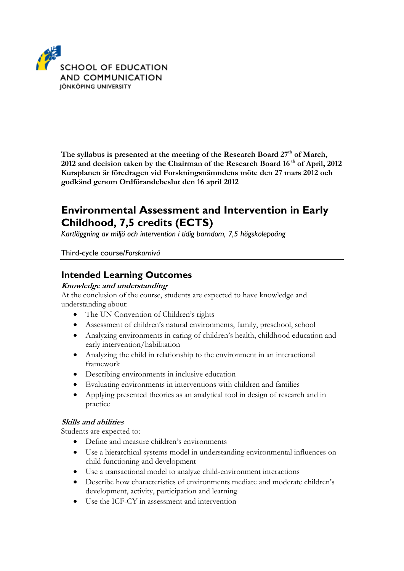

**The syllabus is presented at the meeting of the Research Board 27th of March, 2012 and decision taken by the Chairman of the Research Board 16 th of April, 2012 Kursplanen är föredragen vid Forskningsnämndens möte den 27 mars 2012 och godkänd genom Ordförandebeslut den 16 april 2012**

# **Environmental Assessment and Intervention in Early Childhood, 7,5 credits (ECTS)**

*Kartläggning av miljö och intervention i tidig barndom, 7,5 högskolepoäng*

Third-cycle course/*Forskarnivå*

### **Intended Learning Outcomes**

#### **Knowledge and understanding**

At the conclusion of the course, students are expected to have knowledge and understanding about:

- The UN Convention of Children's rights
- Assessment of children's natural environments, family, preschool, school
- Analyzing environments in caring of children's health, childhood education and early intervention/habilitation
- Analyzing the child in relationship to the environment in an interactional framework
- Describing environments in inclusive education
- Evaluating environments in interventions with children and families
- Applying presented theories as an analytical tool in design of research and in practice

#### **Skills and abilities**

Students are expected to:

- Define and measure children's environments
- Use a hierarchical systems model in understanding environmental influences on child functioning and development
- Use a transactional model to analyze child-environment interactions
- Describe how characteristics of environments mediate and moderate children's development, activity, participation and learning
- Use the ICF-CY in assessment and intervention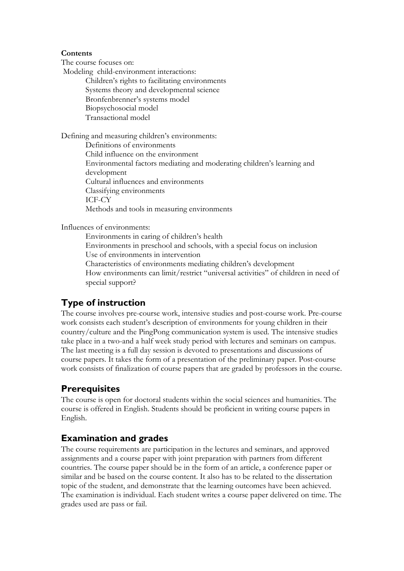#### **Contents**

The course focuses on:

Modeling child-environment interactions:

Children's rights to facilitating environments Systems theory and developmental science Bronfenbrenner's systems model Biopsychosocial model Transactional model

Defining and measuring children's environments: Definitions of environments Child influence on the environment Environmental factors mediating and moderating children's learning and development Cultural influences and environments Classifying environments ICF-CY Methods and tools in measuring environments

Influences of environments:

Environments in caring of children's health Environments in preschool and schools, with a special focus on inclusion Use of environments in intervention Characteristics of environments mediating children's development How environments can limit/restrict "universal activities" of children in need of special support?

# **Type of instruction**

The course involves pre-course work, intensive studies and post-course work. Pre-course work consists each student's description of environments for young children in their country/culture and the PingPong communication system is used. The intensive studies take place in a two-and a half week study period with lectures and seminars on campus. The last meeting is a full day session is devoted to presentations and discussions of course papers. It takes the form of a presentation of the preliminary paper. Post-course work consists of finalization of course papers that are graded by professors in the course.

### **Prerequisites**

The course is open for doctoral students within the social sciences and humanities. The course is offered in English. Students should be proficient in writing course papers in English.

### **Examination and grades**

The course requirements are participation in the lectures and seminars, and approved assignments and a course paper with joint preparation with partners from different countries. The course paper should be in the form of an article, a conference paper or similar and be based on the course content. It also has to be related to the dissertation topic of the student, and demonstrate that the learning outcomes have been achieved. The examination is individual. Each student writes a course paper delivered on time. The grades used are pass or fail.